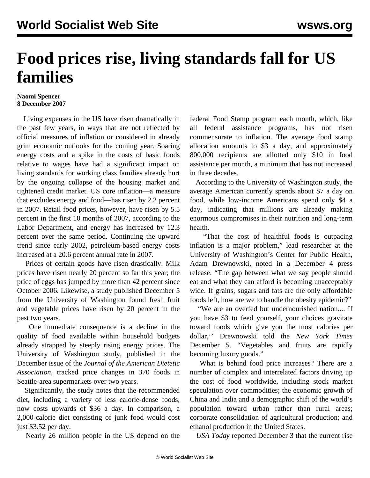## **Food prices rise, living standards fall for US families**

## **Naomi Spencer 8 December 2007**

 Living expenses in the US have risen dramatically in the past few years, in ways that are not reflected by official measures of inflation or considered in already grim economic outlooks for the coming year. Soaring energy costs and a spike in the costs of basic foods relative to wages have had a significant impact on living standards for working class families already hurt by the ongoing collapse of the housing market and tightened credit market. US core inflation—a measure that excludes energy and food—has risen by 2.2 percent in 2007. Retail food prices, however, have risen by 5.5 percent in the first 10 months of 2007, according to the Labor Department, and energy has increased by 12.3 percent over the same period. Continuing the upward trend since early 2002, petroleum-based energy costs increased at a 20.6 percent annual rate in 2007.

 Prices of certain goods have risen drastically. Milk prices have risen nearly 20 percent so far this year; the price of eggs has jumped by more than 42 percent since October 2006. Likewise, a study published December 5 from the University of Washington found fresh fruit and vegetable prices have risen by 20 percent in the past two years.

 One immediate consequence is a decline in the quality of food available within household budgets already strapped by steeply rising energy prices. The University of Washington study, published in the December issue of the *Journal of the American Dietetic Association*, tracked price changes in 370 foods in Seattle-area supermarkets over two years.

 Significantly, the study notes that the recommended diet, including a variety of less calorie-dense foods, now costs upwards of \$36 a day. In comparison, a 2,000-calorie diet consisting of junk food would cost just \$3.52 per day.

Nearly 26 million people in the US depend on the

federal Food Stamp program each month, which, like all federal assistance programs, has not risen commensurate to inflation. The average food stamp allocation amounts to \$3 a day, and approximately 800,000 recipients are allotted only \$10 in food assistance per month, a minimum that has not increased in three decades.

 According to the University of Washington study, the average American currently spends about \$7 a day on food, while low-income Americans spend only \$4 a day, indicating that millions are already making enormous compromises in their nutrition and long-term health.

 "That the cost of healthful foods is outpacing inflation is a major problem," lead researcher at the University of Washington's Center for Public Health, Adam Drewnowski, noted in a December 4 press release. "The gap between what we say people should eat and what they can afford is becoming unacceptably wide. If grains, sugars and fats are the only affordable foods left, how are we to handle the obesity epidemic?"

 "We are an overfed but undernourished nation.... If you have \$3 to feed yourself, your choices gravitate toward foods which give you the most calories per dollar,'' Drewnowski told the *New York Times* December 5. "Vegetables and fruits are rapidly becoming luxury goods."

 What is behind food price increases? There are a number of complex and interrelated factors driving up the cost of food worldwide, including stock market speculation over commodities; the economic growth of China and India and a demographic shift of the world's population toward urban rather than rural areas; corporate consolidation of agricultural production; and ethanol production in the United States.

*USA Today* reported December 3 that the current rise